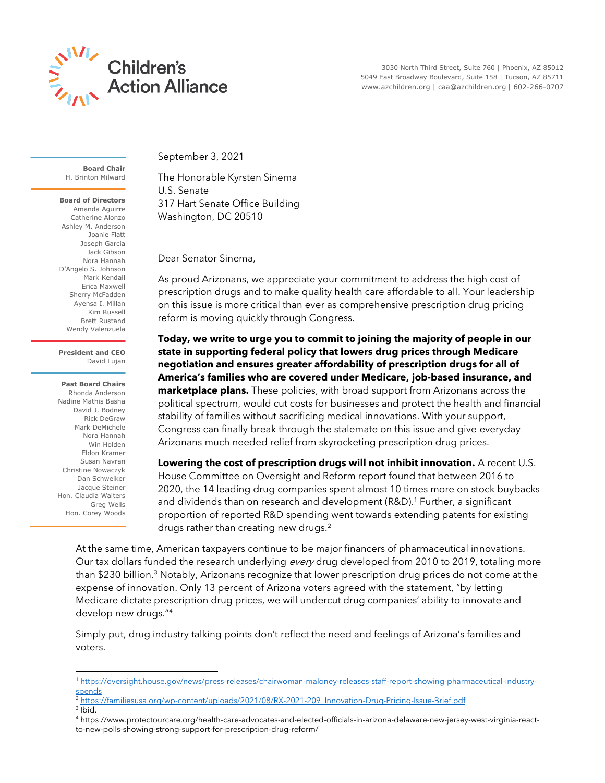

 3030 North Third Street, Suite 760 | Phoenix, AZ 85012 5049 East Broadway Boulevard, Suite 158 | Tucson, AZ 85711 www.azchildren.org | caa@azchildren.org | 602-266-0707

**Board Chair** H. Brinton Milward

**Board of Directors** Amanda Aguirre Catherine Alonzo Ashley M. Anderson Joanie Flatt Joseph Garcia Jack Gibson Nora Hannah D'Angelo S. Johnson Mark Kendall Erica Maxwell Sherry McFadden Ayensa I. Millan Kim Russell Brett Rustand Wendy Valenzuela

## **President and CEO** David Lujan

**Past Board Chairs** Rhonda Anderson Nadine Mathis Basha David J. Bodney Rick DeGraw Mark DeMichele Nora Hannah Win Holden Eldon Kramer Susan Navran Christine Nowaczyk Dan Schweiker Jacque Steiner Hon. Claudia Walters Greg Wells Hon. Corey Woods September 3, 2021

The Honorable Kyrsten Sinema U.S. Senate 317 Hart Senate Office Building Washington, DC 20510

Dear Senator Sinema,

As proud Arizonans, we appreciate your commitment to address the high cost of prescription drugs and to make quality health care affordable to all. Your leadership on this issue is more critical than ever as comprehensive prescription drug pricing reform is moving quickly through Congress.

**Today, we write to urge you to commit to joining the majority of people in our state in supporting federal policy that lowers drug prices through Medicare negotiation and ensures greater affordability of prescription drugs for all of America's families who are covered under Medicare, job-based insurance, and marketplace plans.** These policies, with broad support from Arizonans across the political spectrum, would cut costs for businesses and protect the health and financial stability of families without sacrificing medical innovations. With your support, Congress can finally break through the stalemate on this issue and give everyday Arizonans much needed relief from skyrocketing prescription drug prices.

**Lowering the cost of prescription drugs will not inhibit innovation.** A recent U.S. House Committee on Oversight and Reform report found that between 2016 to 2020, the 14 leading drug companies spent almost 10 times more on stock buybacks and dividends than on research and development (R&D). <sup>1</sup> Further, a significant proportion of reported R&D spending went towards extending patents for existing drugs rather than creating new drugs.<sup>2</sup>

At the same time, American taxpayers continue to be major financers of pharmaceutical innovations. Our tax dollars funded the research underlying *every* drug developed from 2010 to 2019, totaling more than \$230 billion.<sup>3</sup> Notably, Arizonans recognize that lower prescription drug prices do not come at the expense of innovation. Only 13 percent of Arizona voters agreed with the statement, "by letting Medicare dictate prescription drug prices, we will undercut drug companies' ability to innovate and develop new drugs."<sup>4</sup>

Simply put, drug industry talking points don't reflect the need and feelings of Arizona's families and voters.

- <sup>2</sup> [https://familiesusa.org/wp-content/uploads/2021/08/RX-2021-209\\_Innovation-Drug-Pricing-Issue-Brief.pdf](https://familiesusa.org/wp-content/uploads/2021/08/RX-2021-209_Innovation-Drug-Pricing-Issue-Brief.pdf)
- 3 Ibid.

<sup>1</sup> [https://oversight.house.gov/news/press-releases/chairwoman-maloney-releases-staff-report-showing-pharmaceutical-industry](https://oversight.house.gov/news/press-releases/chairwoman-maloney-releases-staff-report-showing-pharmaceutical-industry-spends)[spends](https://oversight.house.gov/news/press-releases/chairwoman-maloney-releases-staff-report-showing-pharmaceutical-industry-spends)

<sup>4</sup> https://www.protectourcare.org/health-care-advocates-and-elected-officials-in-arizona-delaware-new-jersey-west-virginia-reactto-new-polls-showing-strong-support-for-prescription-drug-reform/